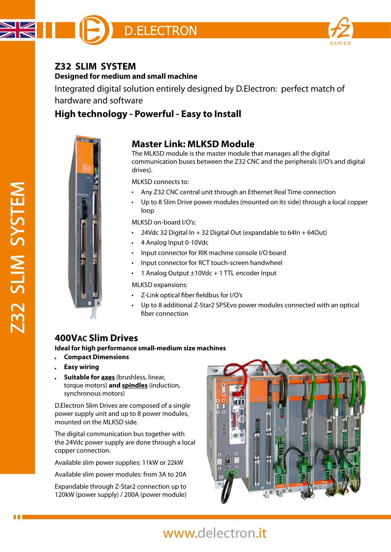

#### **Z32 SLIM SYSTEM Designed for medium and small machine**

Integrated digital solution entirely designed by D.Electron: perfect match of hardware and software

# **High technology - Powerful - Easy to Install**



#### **Master Link: MLKSD Module**

The MLKSD module is the master module that manages all the digital communication buses between the Z32 CNC and the peripherals (I/O's and digital drives).

MLKSD connects to:

- Any Z32 CNC central unit through an Ethernet Real Time connection  $\bullet$
- Up to 8 Slim Drive power modules (mounted on its side) through a local copper loop

MLKSD on-board I/O's:

- $\bullet$ 24Vdc 32 Digital In + 32 Digital Out (expandable to 64In + 64Out)
- 4 Analog Input 0-10Vdc
- Input connector for RIK machine console I/O board
- Input connector for RCT touch-screen handwheel  $\bullet$
- 1 Analog Output ±10Vdc + 1 TTL encoder Input

MLKSD expansions:

- Z-Link optical fiber fieldbus for I/O's
- Up to 8 additional Z-Star2 SPSEvo power modules connected with an optical fiber connection

## **400VAC Slim Drives**

**Ideal for high performance small-medium size machines**

- **Compact Dimensions**
- **Easy wiring**
- **Suitable for axes** (brushless, linear, torque motors) **and spindles** (induction, synchronous motors)

D.Electron Slim Drives are composed of a single power supply unit and up to 8 power modules, mounted on the MLKSD side.

The digital communication bus together with the 24Vdc power supply are done through a local copper connection.

Available slim power supplies: 11kW or 22kW

Available slim power modules: from 3A to 20A

Expandable through Z-Star2 connection up to 120kW (power supply) / 200A (power module)



# [www.delectron.it](http://www.delectron.it)

Z32 SLIM SYSTEM 232 SLIM SYSTEM